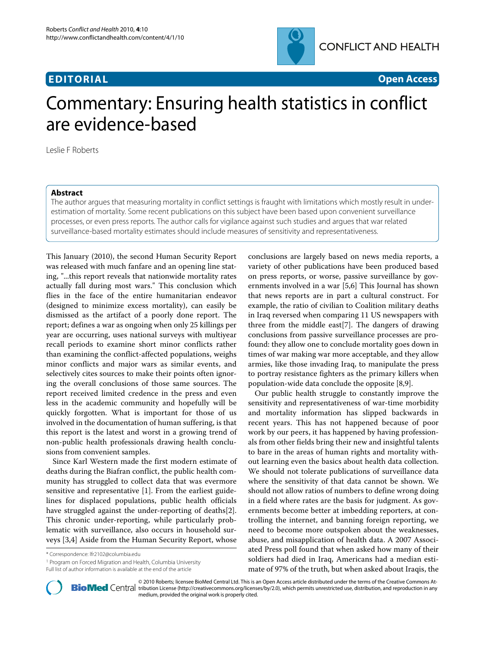

**EDITORIAL Open Access**

# Commentary: Ensuring health statistics in conflict are evidence-based

Leslie F Roberts

## **Abstract**

The author argues that measuring mortality in conflict settings is fraught with limitations which mostly result in underestimation of mortality. Some recent publications on this subject have been based upon convenient surveillance processes, or even press reports. The author calls for vigilance against such studies and argues that war related surveillance-based mortality estimates should include measures of sensitivity and representativeness.

This January (2010), the second Human Security Report was released with much fanfare and an opening line stating, "...this report reveals that nationwide mortality rates actually fall during most wars." This conclusion which flies in the face of the entire humanitarian endeavor (designed to minimize excess mortality), can easily be dismissed as the artifact of a poorly done report. The report; defines a war as ongoing when only 25 killings per year are occurring, uses national surveys with multiyear recall periods to examine short minor conflicts rather than examining the conflict-affected populations, weighs minor conflicts and major wars as similar events, and selectively cites sources to make their points often ignoring the overall conclusions of those same sources. The report received limited credence in the press and even less in the academic community and hopefully will be quickly forgotten. What is important for those of us involved in the documentation of human suffering, is that this report is the latest and worst in a growing trend of non-public health professionals drawing health conclusions from convenient samples.

Since Karl Western made the first modern estimate of deaths during the Biafran conflict, the public health community has struggled to collect data that was evermore sensitive and representative [\[1](#page-1-0)]. From the earliest guidelines for displaced populations, public health officials have struggled against the under-reporting of deaths[\[2](#page-1-1)]. This chronic under-reporting, while particularly problematic with surveillance, also occurs in household surveys [[3,](#page-1-2)[4\]](#page-1-3) Aside from the Human Security Report, whose

\* Correspondence: lfr2102@columbia.edu

1 Program on Forced Migration and Health, Columbia University Full list of author information is available at the end of the article

conclusions are largely based on news media reports, a variety of other publications have been produced based on press reports, or worse, passive surveillance by governments involved in a war [\[5](#page-1-4),[6](#page-1-5)] This Journal has shown that news reports are in part a cultural construct. For example, the ratio of civilian to Coalition military deaths in Iraq reversed when comparing 11 US newspapers with three from the middle east[[7\]](#page-1-6). The dangers of drawing conclusions from passive surveillance processes are profound: they allow one to conclude mortality goes down in times of war making war more acceptable, and they allow armies, like those invading Iraq, to manipulate the press to portray resistance fighters as the primary killers when population-wide data conclude the opposite [[8,](#page-1-7)[9\]](#page-1-8).

Our public health struggle to constantly improve the sensitivity and representativeness of war-time morbidity and mortality information has slipped backwards in recent years. This has not happened because of poor work by our peers, it has happened by having professionals from other fields bring their new and insightful talents to bare in the areas of human rights and mortality without learning even the basics about health data collection. We should not tolerate publications of surveillance data where the sensitivity of that data cannot be shown. We should not allow ratios of numbers to define wrong doing in a field where rates are the basis for judgment. As governments become better at imbedding reporters, at controlling the internet, and banning foreign reporting, we need to become more outspoken about the weaknesses, abuse, and misapplication of health data. A 2007 Associated Press poll found that when asked how many of their soldiers had died in Iraq, Americans had a median estimate of 97% of the truth, but when asked about Iraqis, the



© 2010 Roberts; licensee [BioMed](http://www.biomedcentral.com/) Central Ltd. This is an Open Access article distributed under the terms of the Creative Commons At-<br>Bio Med Central tribution License (http://creativecommons.org/licenses/by/2.0), which per medium, provided the original work is properly cited.